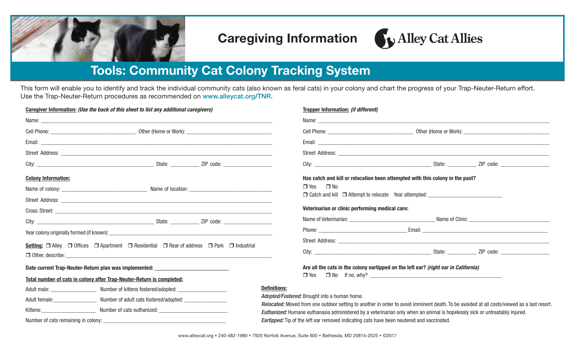

### Caregiving Information

# Alley Cat Allies

## Tools: Community Cat Colony Tracking System

This form will enable you to identify and track the individual community cats (also known as feral cats) in your colony and chart the progress of your Trap-Neuter-Return effort. Use the Trap-Neuter-Return procedures as recommended on www.alleycat.org/TNR.

| Caregiver Information: (Use the back of this sheet to list any additional caregivers)                                                | <b>Trapper Information: (if different)</b>                                                                                                                                                 |
|--------------------------------------------------------------------------------------------------------------------------------------|--------------------------------------------------------------------------------------------------------------------------------------------------------------------------------------------|
|                                                                                                                                      |                                                                                                                                                                                            |
|                                                                                                                                      |                                                                                                                                                                                            |
|                                                                                                                                      |                                                                                                                                                                                            |
|                                                                                                                                      |                                                                                                                                                                                            |
|                                                                                                                                      |                                                                                                                                                                                            |
| <b>Colony Information:</b>                                                                                                           | Has catch and kill or relocation been attempted with this colony in the past?                                                                                                              |
|                                                                                                                                      | $\Box$ Yes<br>$\Box$ No                                                                                                                                                                    |
|                                                                                                                                      | □ Catch and kill □ Attempt to relocate Year attempted: _________________________                                                                                                           |
|                                                                                                                                      | Veterinarian or clinic performing medical care:                                                                                                                                            |
|                                                                                                                                      |                                                                                                                                                                                            |
|                                                                                                                                      |                                                                                                                                                                                            |
| <b>Setting:</b> $\Box$ Alley $\Box$ Offices $\Box$ Apartment $\Box$ Residential $\Box$ Rear of address $\Box$ Park $\Box$ Industrial |                                                                                                                                                                                            |
| $\Box$ Other, describe: $\Box$                                                                                                       |                                                                                                                                                                                            |
| Date current Trap-Neuter-Return plan was implemented: __________________________                                                     | Are all the cats in the colony eartipped on the left ear? (right ear in California)                                                                                                        |
| Total number of cats in colony after Trap-Neuter-Return is completed:                                                                |                                                                                                                                                                                            |
| Adult male: ______________________ Number of kittens fostered/adopted: ____________________________                                  | <b>Definitions:</b>                                                                                                                                                                        |
|                                                                                                                                      | Adopted/Fostered: Brought into a human home.<br>Relocated: Moved from one outdoor setting to another in order to avoid imminent death. To be avoided at all costs/viewed as a last resort. |
|                                                                                                                                      | Euthanized: Humane euthanasia administered by a veterinarian only when an animal is hopelessly sick or untreatably injured.                                                                |
|                                                                                                                                      | <b>Eartipped:</b> Tip of the left ear removed indicating cats have been neutered and vaccinated.                                                                                           |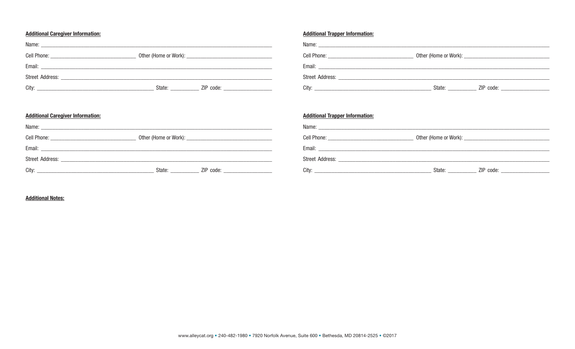#### **Additional Caregiver Information:**

| City: | State: and the state of the state of the state of the state of the state of the state of the state of the state of the state of the state of the state of the state of the state of the state of the state of the state of the | ZIP code: _____________________ |
|-------|--------------------------------------------------------------------------------------------------------------------------------------------------------------------------------------------------------------------------------|---------------------------------|

| <b>Additional Trapper Information:</b>                                                                                        |                                                                                         |
|-------------------------------------------------------------------------------------------------------------------------------|-----------------------------------------------------------------------------------------|
|                                                                                                                               |                                                                                         |
|                                                                                                                               |                                                                                         |
|                                                                                                                               |                                                                                         |
|                                                                                                                               |                                                                                         |
| City:<br><u> 2000 - 2000 - 2000 - 2000 - 2000 - 2000 - 2000 - 2000 - 2000 - 2000 - 2000 - 2000 - 2000 - 2000 - 2000 - 200</u> | State: $\frac{1}{\sqrt{1-\frac{1}{2}}\cdot\frac{1}{2}}$<br>ZIP code: __________________ |

#### **Additional Caregiver Information:**

| State: and the state of the state of the state of the state of the state of the state of the state of the state of the state of the state of the state of the state of the state of the state of the state of the state of the | ZIP code: _____________________ |
|--------------------------------------------------------------------------------------------------------------------------------------------------------------------------------------------------------------------------------|---------------------------------|

| <b>Additional Trapper Information:</b> |                                                         |
|----------------------------------------|---------------------------------------------------------|
|                                        |                                                         |
|                                        |                                                         |
|                                        |                                                         |
|                                        |                                                         |
|                                        | State: <u>_________</u> ZIP code: _____________________ |

#### **Additional Notes:**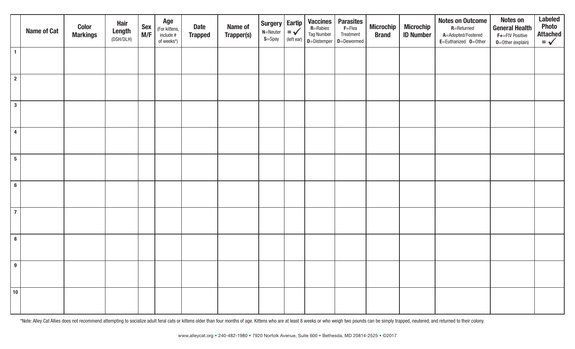|                 | <b>Name of Cat</b> | <b>Color</b><br><b>Markings</b> | <b>Hair</b><br>Length<br>(DSH/DLH) | <b>Sex</b><br>M/F | Age<br>(For kittens,<br>include #<br>of weeks*) | <b>Date</b><br><b>Trapped</b> | Name of<br>Trapper(s) | Surgery<br>$N =$ Neuter<br>$S =$ Spay | Eartip<br>$=$ $\checkmark$<br>(left ear) | Vaccines<br>R=Rabies<br><b>Tag Number</b> | <b>Parasites</b><br>$F = F$ lea<br>Treatment<br>$\vert$ D=Distemper $\vert$ D=Dewormed | <b>Microchip</b><br><b>Brand</b> | <b>Microchip</b><br><b>ID Number</b> | <b>Notes on Outcome</b><br>$R$ =Returned<br>A=Adopted/Fostered<br>E=Euthanized 0=0ther | <b>Notes on</b><br><b>General Health</b><br>F+=FIV Positive<br>$0 =$ Other (explain) | <b>Labeled</b><br><b>Photo</b><br>Attached<br>$=$ |
|-----------------|--------------------|---------------------------------|------------------------------------|-------------------|-------------------------------------------------|-------------------------------|-----------------------|---------------------------------------|------------------------------------------|-------------------------------------------|----------------------------------------------------------------------------------------|----------------------------------|--------------------------------------|----------------------------------------------------------------------------------------|--------------------------------------------------------------------------------------|---------------------------------------------------|
| $\mathbf{1}$    |                    |                                 |                                    |                   |                                                 |                               |                       |                                       |                                          |                                           |                                                                                        |                                  |                                      |                                                                                        |                                                                                      |                                                   |
| $\overline{2}$  |                    |                                 |                                    |                   |                                                 |                               |                       |                                       |                                          |                                           |                                                                                        |                                  |                                      |                                                                                        |                                                                                      |                                                   |
| $\mathbf{3}$    |                    |                                 |                                    |                   |                                                 |                               |                       |                                       |                                          |                                           |                                                                                        |                                  |                                      |                                                                                        |                                                                                      |                                                   |
| $\overline{4}$  |                    |                                 |                                    |                   |                                                 |                               |                       |                                       |                                          |                                           |                                                                                        |                                  |                                      |                                                                                        |                                                                                      |                                                   |
| $5\phantom{.0}$ |                    |                                 |                                    |                   |                                                 |                               |                       |                                       |                                          |                                           |                                                                                        |                                  |                                      |                                                                                        |                                                                                      |                                                   |
| $6\phantom{a}$  |                    |                                 |                                    |                   |                                                 |                               |                       |                                       |                                          |                                           |                                                                                        |                                  |                                      |                                                                                        |                                                                                      |                                                   |
| $\overline{7}$  |                    |                                 |                                    |                   |                                                 |                               |                       |                                       |                                          |                                           |                                                                                        |                                  |                                      |                                                                                        |                                                                                      |                                                   |
| $\bf{8}$        |                    |                                 |                                    |                   |                                                 |                               |                       |                                       |                                          |                                           |                                                                                        |                                  |                                      |                                                                                        |                                                                                      |                                                   |
| $\overline{9}$  |                    |                                 |                                    |                   |                                                 |                               |                       |                                       |                                          |                                           |                                                                                        |                                  |                                      |                                                                                        |                                                                                      |                                                   |
| $ 10\rangle$    |                    |                                 |                                    |                   |                                                 |                               |                       |                                       |                                          |                                           |                                                                                        |                                  |                                      |                                                                                        |                                                                                      |                                                   |

\*Note: Alley Cat Allies does not recommend attempting to socialize adult feral cats or kittens older than four months of age. Kittens who are at least 8 weeks or who weigh two pounds can be simply trapped, neutered, and re